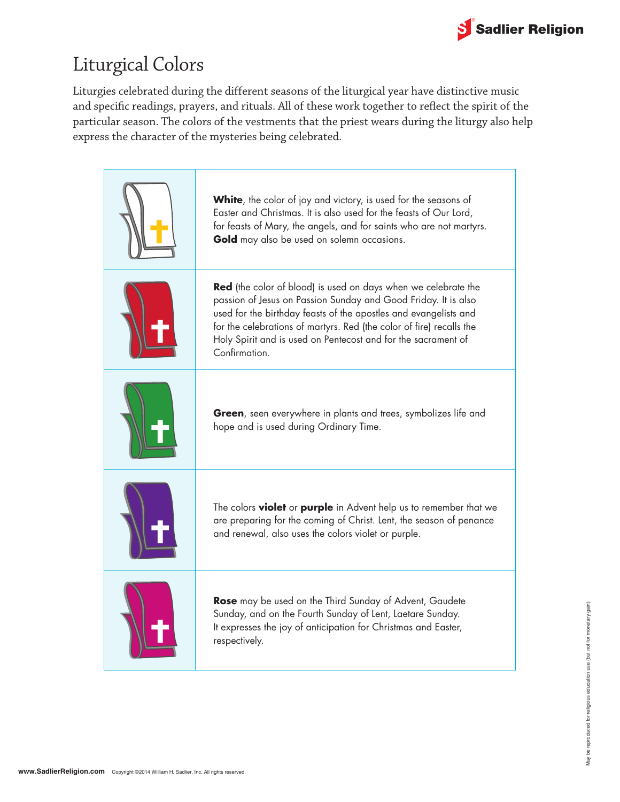

## Liturgical Colors

Liturgies celebrated during the different seasons of the liturgical year have distinctive music and specific readings, prayers, and rituals. All of these work together to reflect the spirit of the particular season. The colors of the vestments that the priest wears during the liturgy also help express the character of the mysteries being celebrated.

| <b>White</b> , the color of joy and victory, is used for the seasons of<br>Easter and Christmas. It is also used for the feasts of Our Lord,<br>for feasts of Mary, the angels, and for saints who are not martyrs.<br>Gold may also be used on solemn occasions.                                                                                                     |
|-----------------------------------------------------------------------------------------------------------------------------------------------------------------------------------------------------------------------------------------------------------------------------------------------------------------------------------------------------------------------|
| <b>Red</b> (the color of blood) is used on days when we celebrate the<br>passion of Jesus on Passion Sunday and Good Friday. It is also<br>used for the birthday feasts of the apostles and evangelists and<br>for the celebrations of martyrs. Red (the color of fire) recalls the<br>Holy Spirit and is used on Pentecost and for the sacrament of<br>Confirmation. |
| Green, seen everywhere in plants and trees, symbolizes life and<br>hope and is used during Ordinary Time.                                                                                                                                                                                                                                                             |
| The colors <b>violet</b> or <b>purple</b> in Advent help us to remember that we<br>are preparing for the coming of Christ. Lent, the season of penance<br>and renewal, also uses the colors violet or purple.                                                                                                                                                         |
| <b>Rose</b> may be used on the Third Sunday of Advent, Gaudete<br>Sunday, and on the Fourth Sunday of Lent, Laetare Sunday.<br>It expresses the joy of anticipation for Christmas and Easter,<br>respectively.                                                                                                                                                        |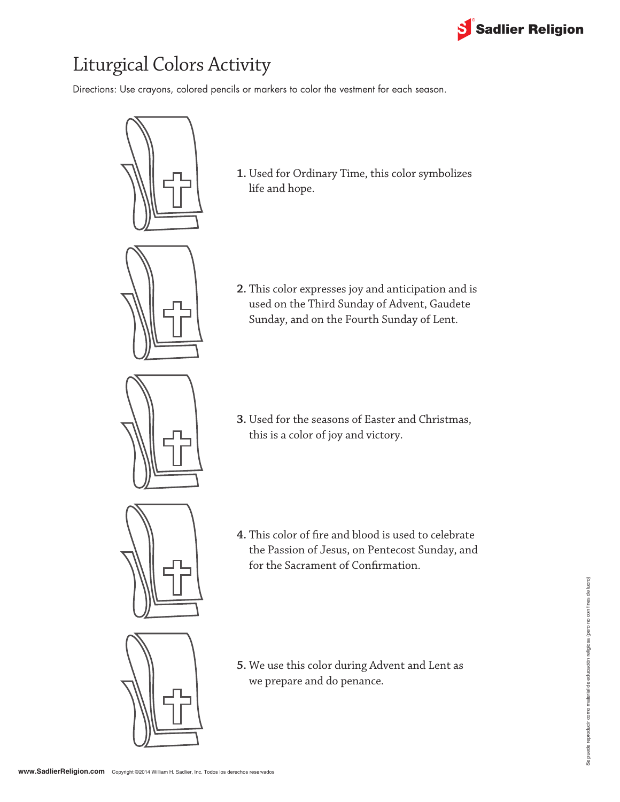

# Liturgical Colors Activity

Directions: Use crayons, colored pencils or markers to color the vestment for each season.